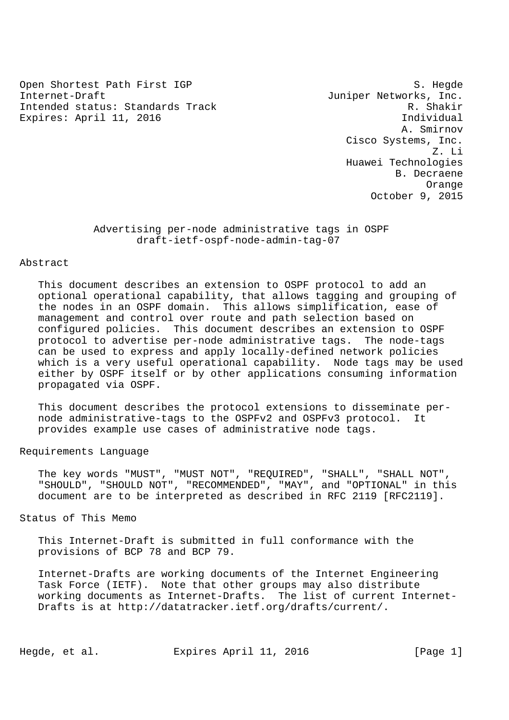Open Shortest Path First IGP S. Hegde Internet-Draft  $J$ uniper Networks, Inc. Intended status: Standards Track R. Shakir Expires: April 11, 2016 **Individual** 

 A. Smirnov Cisco Systems, Inc. Z. Li Huawei Technologies B. Decraene Orange October 9, 2015

> Advertising per-node administrative tags in OSPF draft-ietf-ospf-node-admin-tag-07

## Abstract

 This document describes an extension to OSPF protocol to add an optional operational capability, that allows tagging and grouping of the nodes in an OSPF domain. This allows simplification, ease of management and control over route and path selection based on configured policies. This document describes an extension to OSPF protocol to advertise per-node administrative tags. The node-tags can be used to express and apply locally-defined network policies which is a very useful operational capability. Node tags may be used either by OSPF itself or by other applications consuming information propagated via OSPF.

 This document describes the protocol extensions to disseminate per node administrative-tags to the OSPFv2 and OSPFv3 protocol. It provides example use cases of administrative node tags.

Requirements Language

 The key words "MUST", "MUST NOT", "REQUIRED", "SHALL", "SHALL NOT", "SHOULD", "SHOULD NOT", "RECOMMENDED", "MAY", and "OPTIONAL" in this document are to be interpreted as described in RFC 2119 [RFC2119].

Status of This Memo

 This Internet-Draft is submitted in full conformance with the provisions of BCP 78 and BCP 79.

 Internet-Drafts are working documents of the Internet Engineering Task Force (IETF). Note that other groups may also distribute working documents as Internet-Drafts. The list of current Internet- Drafts is at http://datatracker.ietf.org/drafts/current/.

Hegde, et al. Expires April 11, 2016 [Page 1]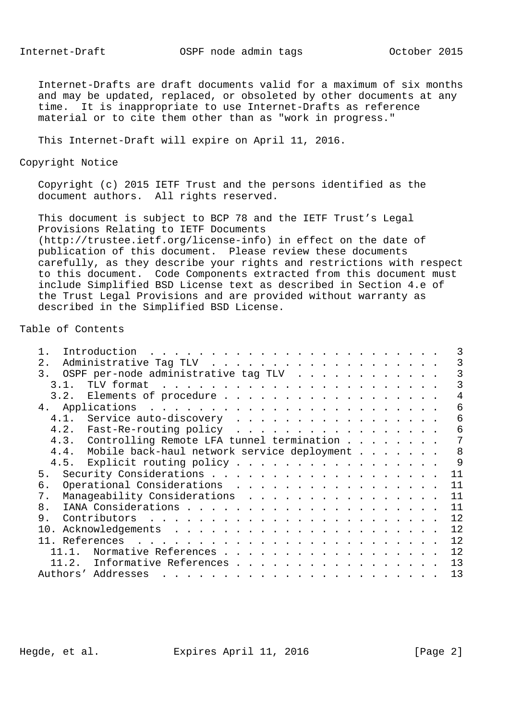Internet-Draft OSPF node admin tags October 2015

 Internet-Drafts are draft documents valid for a maximum of six months and may be updated, replaced, or obsoleted by other documents at any time. It is inappropriate to use Internet-Drafts as reference material or to cite them other than as "work in progress."

This Internet-Draft will expire on April 11, 2016.

Copyright Notice

 Copyright (c) 2015 IETF Trust and the persons identified as the document authors. All rights reserved.

 This document is subject to BCP 78 and the IETF Trust's Legal Provisions Relating to IETF Documents (http://trustee.ietf.org/license-info) in effect on the date of publication of this document. Please review these documents carefully, as they describe your rights and restrictions with respect to this document. Code Components extracted from this document must include Simplified BSD License text as described in Section 4.e of the Trust Legal Provisions and are provided without warranty as described in the Simplified BSD License.

# Table of Contents

| 2.                                                  |    |
|-----------------------------------------------------|----|
| OSPF per-node administrative tag TLV<br>3.          |    |
| 3.1                                                 |    |
| 3.2. Elements of procedure                          | 4  |
|                                                     | 6  |
| 4.1. Service auto-discovery                         | 6  |
| 4.2. Fast-Re-routing policy                         | 6  |
| 4.3. Controlling Remote LFA tunnel termination      |    |
| 4.4.<br>Mobile back-haul network service deployment | 8  |
| 4.5. Explicit routing policy                        | 9  |
| 5.                                                  | 11 |
| Operational Considerations<br>б.                    | 11 |
| Manageability Considerations<br>7.                  | 11 |
| 8.                                                  | 11 |
| 9.                                                  | 12 |
| 10.                                                 | 12 |
|                                                     | 12 |
| Normative References<br>11.1.                       | 12 |
| Informative References<br>11.2.                     | 13 |
| Authors' Addresses                                  | 13 |
|                                                     |    |

Hegde, et al. Expires April 11, 2016 [Page 2]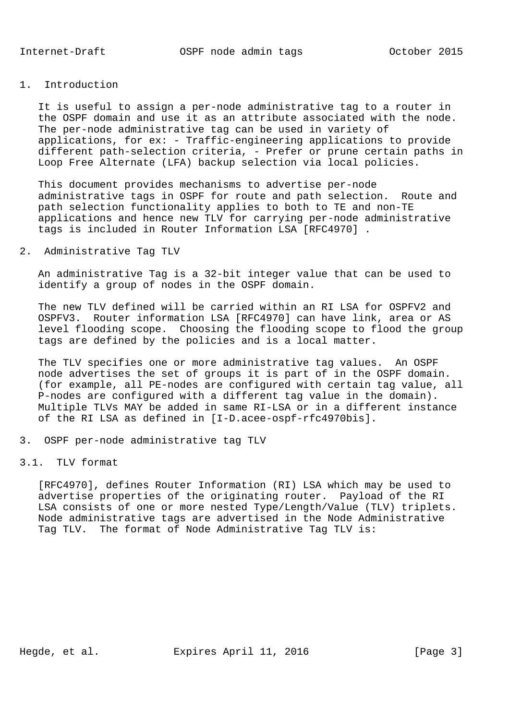### 1. Introduction

 It is useful to assign a per-node administrative tag to a router in the OSPF domain and use it as an attribute associated with the node. The per-node administrative tag can be used in variety of applications, for ex: - Traffic-engineering applications to provide different path-selection criteria, - Prefer or prune certain paths in Loop Free Alternate (LFA) backup selection via local policies.

 This document provides mechanisms to advertise per-node administrative tags in OSPF for route and path selection. Route and path selection functionality applies to both to TE and non-TE applications and hence new TLV for carrying per-node administrative tags is included in Router Information LSA [RFC4970] .

# 2. Administrative Tag TLV

 An administrative Tag is a 32-bit integer value that can be used to identify a group of nodes in the OSPF domain.

 The new TLV defined will be carried within an RI LSA for OSPFV2 and OSPFV3. Router information LSA [RFC4970] can have link, area or AS level flooding scope. Choosing the flooding scope to flood the group tags are defined by the policies and is a local matter.

 The TLV specifies one or more administrative tag values. An OSPF node advertises the set of groups it is part of in the OSPF domain. (for example, all PE-nodes are configured with certain tag value, all P-nodes are configured with a different tag value in the domain). Multiple TLVs MAY be added in same RI-LSA or in a different instance of the RI LSA as defined in [I-D.acee-ospf-rfc4970bis].

3. OSPF per-node administrative tag TLV

#### 3.1. TLV format

 [RFC4970], defines Router Information (RI) LSA which may be used to advertise properties of the originating router. Payload of the RI LSA consists of one or more nested Type/Length/Value (TLV) triplets. Node administrative tags are advertised in the Node Administrative Tag TLV. The format of Node Administrative Tag TLV is: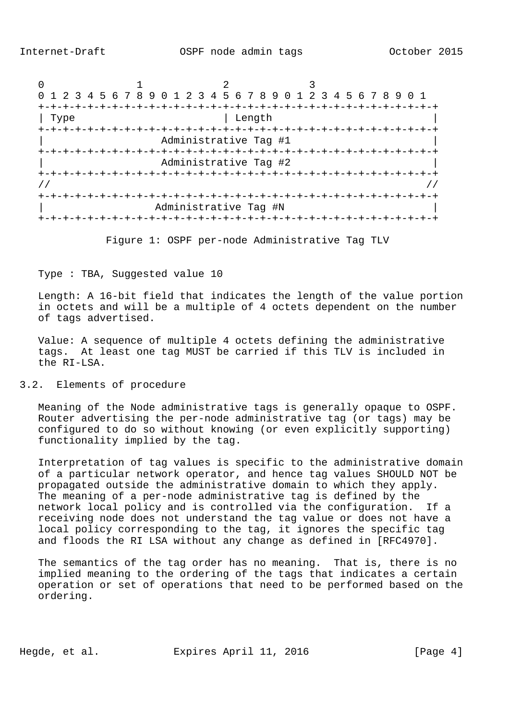

Figure 1: OSPF per-node Administrative Tag TLV

Type : TBA, Suggested value 10

 Length: A 16-bit field that indicates the length of the value portion in octets and will be a multiple of 4 octets dependent on the number of tags advertised.

 Value: A sequence of multiple 4 octets defining the administrative tags. At least one tag MUST be carried if this TLV is included in the RI-LSA.

#### 3.2. Elements of procedure

 Meaning of the Node administrative tags is generally opaque to OSPF. Router advertising the per-node administrative tag (or tags) may be configured to do so without knowing (or even explicitly supporting) functionality implied by the tag.

 Interpretation of tag values is specific to the administrative domain of a particular network operator, and hence tag values SHOULD NOT be propagated outside the administrative domain to which they apply. The meaning of a per-node administrative tag is defined by the network local policy and is controlled via the configuration. If a receiving node does not understand the tag value or does not have a local policy corresponding to the tag, it ignores the specific tag and floods the RI LSA without any change as defined in [RFC4970].

 The semantics of the tag order has no meaning. That is, there is no implied meaning to the ordering of the tags that indicates a certain operation or set of operations that need to be performed based on the ordering.

Hegde, et al. Expires April 11, 2016 [Page 4]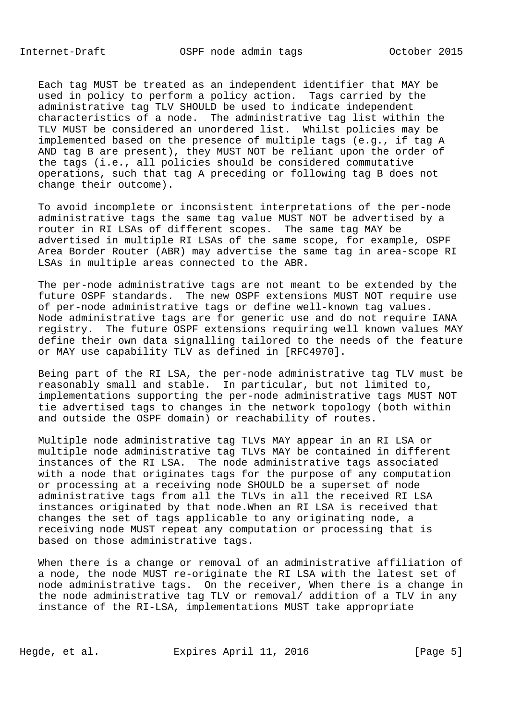Each tag MUST be treated as an independent identifier that MAY be used in policy to perform a policy action. Tags carried by the administrative tag TLV SHOULD be used to indicate independent characteristics of a node. The administrative tag list within the TLV MUST be considered an unordered list. Whilst policies may be implemented based on the presence of multiple tags (e.g., if tag A AND tag B are present), they MUST NOT be reliant upon the order of the tags (i.e., all policies should be considered commutative operations, such that tag A preceding or following tag B does not change their outcome).

 To avoid incomplete or inconsistent interpretations of the per-node administrative tags the same tag value MUST NOT be advertised by a router in RI LSAs of different scopes. The same tag MAY be advertised in multiple RI LSAs of the same scope, for example, OSPF Area Border Router (ABR) may advertise the same tag in area-scope RI LSAs in multiple areas connected to the ABR.

 The per-node administrative tags are not meant to be extended by the future OSPF standards. The new OSPF extensions MUST NOT require use of per-node administrative tags or define well-known tag values. Node administrative tags are for generic use and do not require IANA registry. The future OSPF extensions requiring well known values MAY define their own data signalling tailored to the needs of the feature or MAY use capability TLV as defined in [RFC4970].

 Being part of the RI LSA, the per-node administrative tag TLV must be reasonably small and stable. In particular, but not limited to, implementations supporting the per-node administrative tags MUST NOT tie advertised tags to changes in the network topology (both within and outside the OSPF domain) or reachability of routes.

 Multiple node administrative tag TLVs MAY appear in an RI LSA or multiple node administrative tag TLVs MAY be contained in different instances of the RI LSA. The node administrative tags associated with a node that originates tags for the purpose of any computation or processing at a receiving node SHOULD be a superset of node administrative tags from all the TLVs in all the received RI LSA instances originated by that node.When an RI LSA is received that changes the set of tags applicable to any originating node, a receiving node MUST repeat any computation or processing that is based on those administrative tags.

 When there is a change or removal of an administrative affiliation of a node, the node MUST re-originate the RI LSA with the latest set of node administrative tags. On the receiver, When there is a change in the node administrative tag TLV or removal/ addition of a TLV in any instance of the RI-LSA, implementations MUST take appropriate

Hegde, et al. Expires April 11, 2016 [Page 5]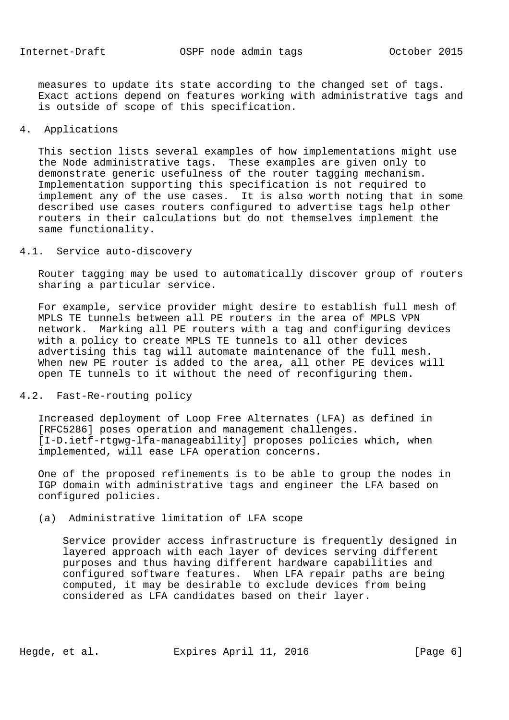measures to update its state according to the changed set of tags. Exact actions depend on features working with administrative tags and is outside of scope of this specification.

# 4. Applications

 This section lists several examples of how implementations might use the Node administrative tags. These examples are given only to demonstrate generic usefulness of the router tagging mechanism. Implementation supporting this specification is not required to implement any of the use cases. It is also worth noting that in some described use cases routers configured to advertise tags help other routers in their calculations but do not themselves implement the same functionality.

#### 4.1. Service auto-discovery

 Router tagging may be used to automatically discover group of routers sharing a particular service.

 For example, service provider might desire to establish full mesh of MPLS TE tunnels between all PE routers in the area of MPLS VPN network. Marking all PE routers with a tag and configuring devices with a policy to create MPLS TE tunnels to all other devices advertising this tag will automate maintenance of the full mesh. When new PE router is added to the area, all other PE devices will open TE tunnels to it without the need of reconfiguring them.

## 4.2. Fast-Re-routing policy

 Increased deployment of Loop Free Alternates (LFA) as defined in [RFC5286] poses operation and management challenges. [I-D.ietf-rtgwg-lfa-manageability] proposes policies which, when implemented, will ease LFA operation concerns.

 One of the proposed refinements is to be able to group the nodes in IGP domain with administrative tags and engineer the LFA based on configured policies.

(a) Administrative limitation of LFA scope

 Service provider access infrastructure is frequently designed in layered approach with each layer of devices serving different purposes and thus having different hardware capabilities and configured software features. When LFA repair paths are being computed, it may be desirable to exclude devices from being considered as LFA candidates based on their layer.

Hegde, et al. Expires April 11, 2016 [Page 6]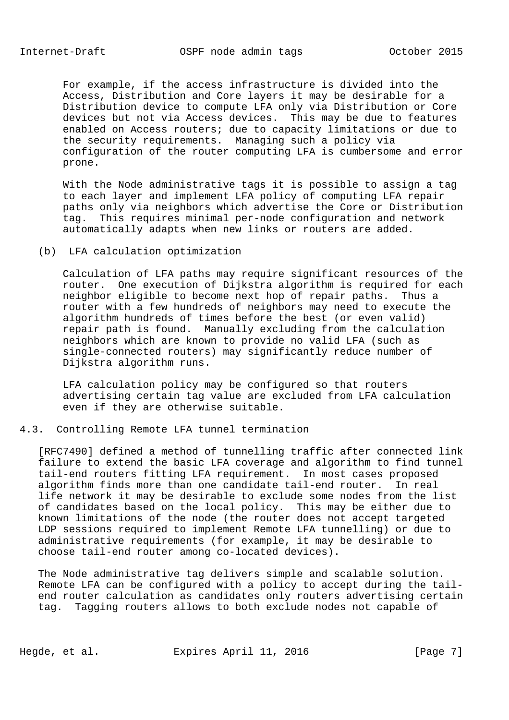For example, if the access infrastructure is divided into the Access, Distribution and Core layers it may be desirable for a Distribution device to compute LFA only via Distribution or Core devices but not via Access devices. This may be due to features enabled on Access routers; due to capacity limitations or due to the security requirements. Managing such a policy via configuration of the router computing LFA is cumbersome and error prone.

 With the Node administrative tags it is possible to assign a tag to each layer and implement LFA policy of computing LFA repair paths only via neighbors which advertise the Core or Distribution tag. This requires minimal per-node configuration and network automatically adapts when new links or routers are added.

### (b) LFA calculation optimization

 Calculation of LFA paths may require significant resources of the router. One execution of Dijkstra algorithm is required for each neighbor eligible to become next hop of repair paths. Thus a router with a few hundreds of neighbors may need to execute the algorithm hundreds of times before the best (or even valid) repair path is found. Manually excluding from the calculation neighbors which are known to provide no valid LFA (such as single-connected routers) may significantly reduce number of Dijkstra algorithm runs.

 LFA calculation policy may be configured so that routers advertising certain tag value are excluded from LFA calculation even if they are otherwise suitable.

#### 4.3. Controlling Remote LFA tunnel termination

 [RFC7490] defined a method of tunnelling traffic after connected link failure to extend the basic LFA coverage and algorithm to find tunnel tail-end routers fitting LFA requirement. In most cases proposed algorithm finds more than one candidate tail-end router. In real life network it may be desirable to exclude some nodes from the list of candidates based on the local policy. This may be either due to known limitations of the node (the router does not accept targeted LDP sessions required to implement Remote LFA tunnelling) or due to administrative requirements (for example, it may be desirable to choose tail-end router among co-located devices).

 The Node administrative tag delivers simple and scalable solution. Remote LFA can be configured with a policy to accept during the tail end router calculation as candidates only routers advertising certain tag. Tagging routers allows to both exclude nodes not capable of

Hegde, et al. Expires April 11, 2016 [Page 7]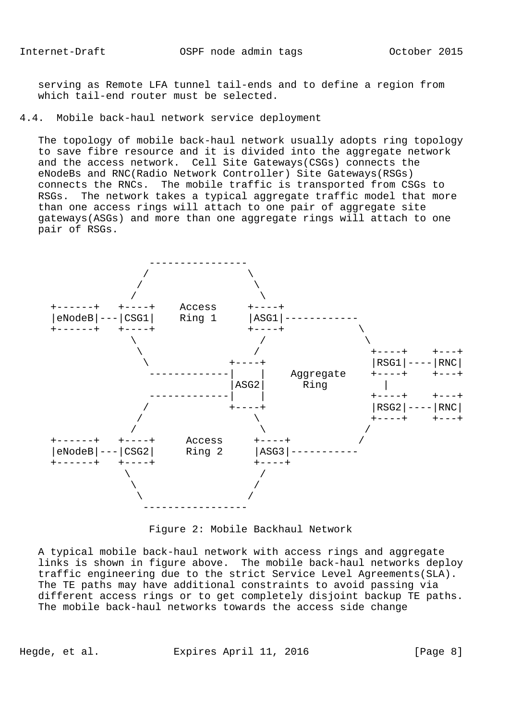serving as Remote LFA tunnel tail-ends and to define a region from which tail-end router must be selected.

### 4.4. Mobile back-haul network service deployment

 The topology of mobile back-haul network usually adopts ring topology to save fibre resource and it is divided into the aggregate network and the access network. Cell Site Gateways(CSGs) connects the eNodeBs and RNC(Radio Network Controller) Site Gateways(RSGs) connects the RNCs. The mobile traffic is transported from CSGs to RSGs. The network takes a typical aggregate traffic model that more than one access rings will attach to one pair of aggregate site gateways(ASGs) and more than one aggregate rings will attach to one pair of RSGs.



Figure 2: Mobile Backhaul Network

 A typical mobile back-haul network with access rings and aggregate links is shown in figure above. The mobile back-haul networks deploy traffic engineering due to the strict Service Level Agreements(SLA). The TE paths may have additional constraints to avoid passing via different access rings or to get completely disjoint backup TE paths. The mobile back-haul networks towards the access side change

Hegde, et al. Expires April 11, 2016 [Page 8]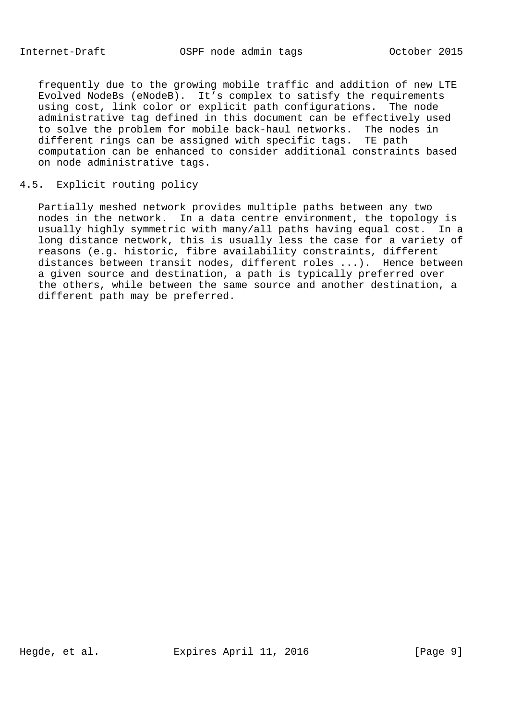frequently due to the growing mobile traffic and addition of new LTE Evolved NodeBs (eNodeB). It's complex to satisfy the requirements using cost, link color or explicit path configurations. The node administrative tag defined in this document can be effectively used to solve the problem for mobile back-haul networks. The nodes in different rings can be assigned with specific tags. TE path computation can be enhanced to consider additional constraints based on node administrative tags.

#### 4.5. Explicit routing policy

 Partially meshed network provides multiple paths between any two nodes in the network. In a data centre environment, the topology is usually highly symmetric with many/all paths having equal cost. In a long distance network, this is usually less the case for a variety of reasons (e.g. historic, fibre availability constraints, different distances between transit nodes, different roles ...). Hence between a given source and destination, a path is typically preferred over the others, while between the same source and another destination, a different path may be preferred.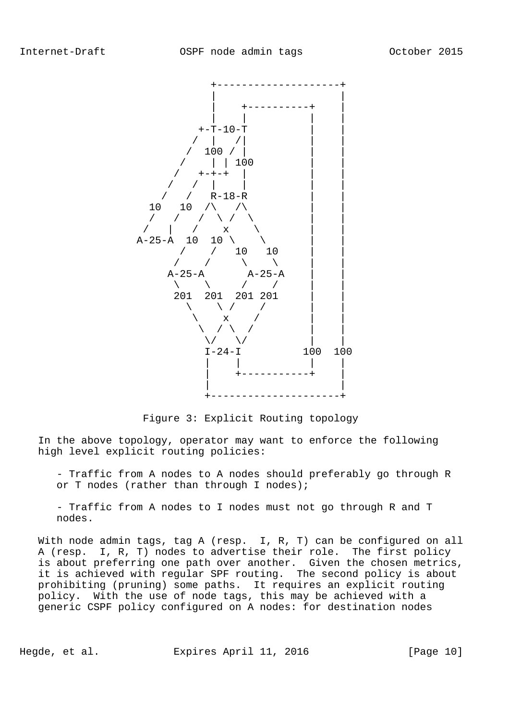

Figure 3: Explicit Routing topology

 In the above topology, operator may want to enforce the following high level explicit routing policies:

 - Traffic from A nodes to A nodes should preferably go through R or T nodes (rather than through I nodes);

 - Traffic from A nodes to I nodes must not go through R and T nodes.

 With node admin tags, tag A (resp. I, R, T) can be configured on all A (resp. I, R, T) nodes to advertise their role. The first policy is about preferring one path over another. Given the chosen metrics, it is achieved with regular SPF routing. The second policy is about prohibiting (pruning) some paths. It requires an explicit routing policy. With the use of node tags, this may be achieved with a generic CSPF policy configured on A nodes: for destination nodes

Hegde, et al. Expires April 11, 2016 [Page 10]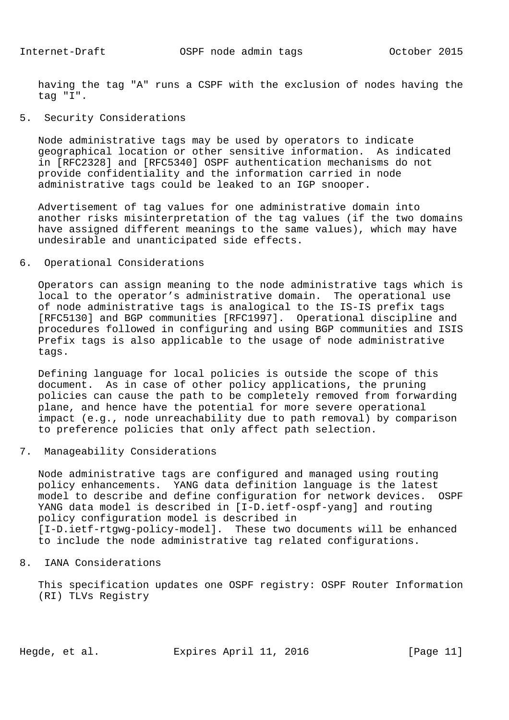having the tag "A" runs a CSPF with the exclusion of nodes having the tag "I".

# 5. Security Considerations

 Node administrative tags may be used by operators to indicate geographical location or other sensitive information. As indicated in [RFC2328] and [RFC5340] OSPF authentication mechanisms do not provide confidentiality and the information carried in node administrative tags could be leaked to an IGP snooper.

 Advertisement of tag values for one administrative domain into another risks misinterpretation of the tag values (if the two domains have assigned different meanings to the same values), which may have undesirable and unanticipated side effects.

## 6. Operational Considerations

 Operators can assign meaning to the node administrative tags which is local to the operator's administrative domain. The operational use of node administrative tags is analogical to the IS-IS prefix tags [RFC5130] and BGP communities [RFC1997]. Operational discipline and procedures followed in configuring and using BGP communities and ISIS Prefix tags is also applicable to the usage of node administrative tags.

 Defining language for local policies is outside the scope of this document. As in case of other policy applications, the pruning policies can cause the path to be completely removed from forwarding plane, and hence have the potential for more severe operational impact (e.g., node unreachability due to path removal) by comparison to preference policies that only affect path selection.

# 7. Manageability Considerations

 Node administrative tags are configured and managed using routing policy enhancements. YANG data definition language is the latest model to describe and define configuration for network devices. OSPF YANG data model is described in [I-D.ietf-ospf-yang] and routing policy configuration model is described in [I-D.ietf-rtgwg-policy-model]. These two documents will be enhanced to include the node administrative tag related configurations.

# 8. IANA Considerations

 This specification updates one OSPF registry: OSPF Router Information (RI) TLVs Registry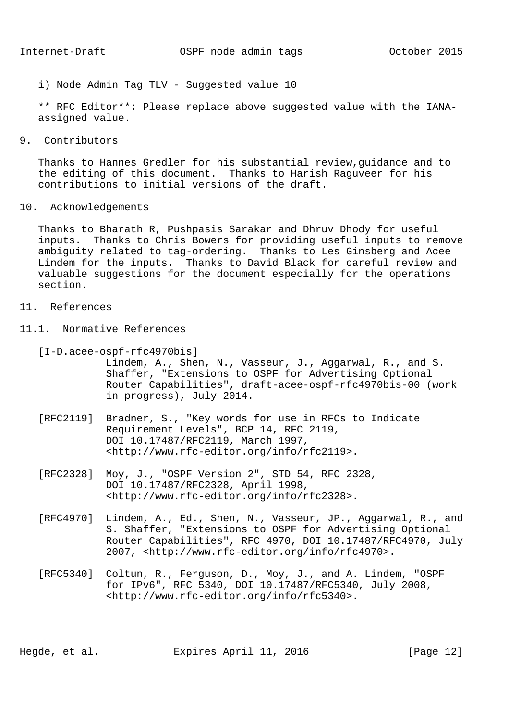i) Node Admin Tag TLV - Suggested value 10

 \*\* RFC Editor\*\*: Please replace above suggested value with the IANA assigned value.

9. Contributors

 Thanks to Hannes Gredler for his substantial review,guidance and to the editing of this document. Thanks to Harish Raguveer for his contributions to initial versions of the draft.

10. Acknowledgements

 Thanks to Bharath R, Pushpasis Sarakar and Dhruv Dhody for useful inputs. Thanks to Chris Bowers for providing useful inputs to remove ambiguity related to tag-ordering. Thanks to Les Ginsberg and Acee Lindem for the inputs. Thanks to David Black for careful review and valuable suggestions for the document especially for the operations section.

- 11. References
- 11.1. Normative References
	- [I-D.acee-ospf-rfc4970bis]
		- Lindem, A., Shen, N., Vasseur, J., Aggarwal, R., and S. Shaffer, "Extensions to OSPF for Advertising Optional Router Capabilities", draft-acee-ospf-rfc4970bis-00 (work in progress), July 2014.
	- [RFC2119] Bradner, S., "Key words for use in RFCs to Indicate Requirement Levels", BCP 14, RFC 2119, DOI 10.17487/RFC2119, March 1997, <http://www.rfc-editor.org/info/rfc2119>.
	- [RFC2328] Moy, J., "OSPF Version 2", STD 54, RFC 2328, DOI 10.17487/RFC2328, April 1998, <http://www.rfc-editor.org/info/rfc2328>.
	- [RFC4970] Lindem, A., Ed., Shen, N., Vasseur, JP., Aggarwal, R., and S. Shaffer, "Extensions to OSPF for Advertising Optional Router Capabilities", RFC 4970, DOI 10.17487/RFC4970, July 2007, <http://www.rfc-editor.org/info/rfc4970>.
	- [RFC5340] Coltun, R., Ferguson, D., Moy, J., and A. Lindem, "OSPF for IPv6", RFC 5340, DOI 10.17487/RFC5340, July 2008, <http://www.rfc-editor.org/info/rfc5340>.

Hegde, et al. Expires April 11, 2016 [Page 12]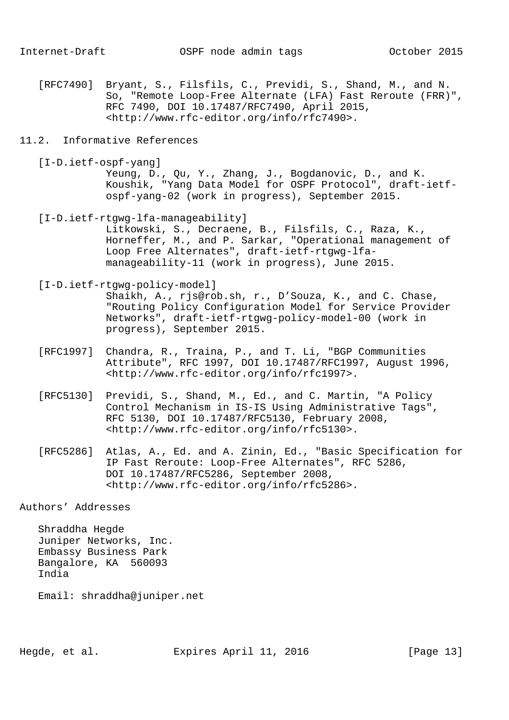- [RFC7490] Bryant, S., Filsfils, C., Previdi, S., Shand, M., and N. So, "Remote Loop-Free Alternate (LFA) Fast Reroute (FRR)", RFC 7490, DOI 10.17487/RFC7490, April 2015, <http://www.rfc-editor.org/info/rfc7490>.
- 11.2. Informative References
	- [I-D.ietf-ospf-yang] Yeung, D., Qu, Y., Zhang, J., Bogdanovic, D., and K. Koushik, "Yang Data Model for OSPF Protocol", draft-ietf ospf-yang-02 (work in progress), September 2015.
	- [I-D.ietf-rtgwg-lfa-manageability] Litkowski, S., Decraene, B., Filsfils, C., Raza, K., Horneffer, M., and P. Sarkar, "Operational management of Loop Free Alternates", draft-ietf-rtgwg-lfa manageability-11 (work in progress), June 2015.
	- [I-D.ietf-rtgwg-policy-model]

 Shaikh, A., rjs@rob.sh, r., D'Souza, K., and C. Chase, "Routing Policy Configuration Model for Service Provider Networks", draft-ietf-rtgwg-policy-model-00 (work in progress), September 2015.

- [RFC1997] Chandra, R., Traina, P., and T. Li, "BGP Communities Attribute", RFC 1997, DOI 10.17487/RFC1997, August 1996, <http://www.rfc-editor.org/info/rfc1997>.
- [RFC5130] Previdi, S., Shand, M., Ed., and C. Martin, "A Policy Control Mechanism in IS-IS Using Administrative Tags", RFC 5130, DOI 10.17487/RFC5130, February 2008, <http://www.rfc-editor.org/info/rfc5130>.
- [RFC5286] Atlas, A., Ed. and A. Zinin, Ed., "Basic Specification for IP Fast Reroute: Loop-Free Alternates", RFC 5286, DOI 10.17487/RFC5286, September 2008, <http://www.rfc-editor.org/info/rfc5286>.

Authors' Addresses

 Shraddha Hegde Juniper Networks, Inc. Embassy Business Park Bangalore, KA 560093 India

Email: shraddha@juniper.net